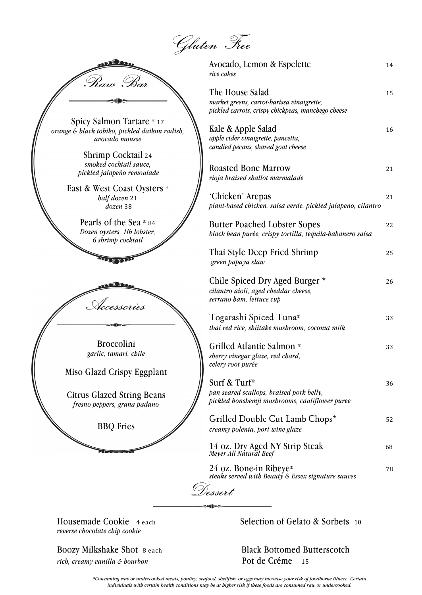Gluten Free

| <u>coolee</u>  |  |
|----------------|--|
| Kaw <i>Bar</i> |  |
|                |  |

Spicy Salmon Tartare \* <sup>17</sup> *orange & black tobiko, pickled daikon radish, avocado mousse*

> Shrimp Cocktail <sup>24</sup> *smoked cocktail sauce, pickled jalapeño remoulade*

East & West Coast Oysters \* *half dozen* 21 *dozen* 38

> Pearls of the Sea \* <sup>84</sup> *Dozen oysters, 1lb lobster, 6 shrimp cocktail*

Accessories

Broccolini *garlic, tamari, chile*

Miso Glazd Crispy Eggplant

Citrus Glazed String Beans *fresno peppers, grana padano*

BBQ Fries

Avocado, Lemon & Espelette 14 *rice cakes* The House Salad 15 *market greens, carrot-harissa vinaigrette, pickled carrots, crispy chickpeas, manchego cheese* Kale & Apple Salad 16 *apple cider vinaigrette, pancetta, candied pecans, shaved goat cheese* Roasted Bone Marrow 21 *rioja braised shallot marmalade* 'Chicken' Arepas 21 *plant-based chicken, salsa verde, pickled jalapeno, cilantro* Butter Poached Lobster Sopes 22 *black bean purée, crispy tortilla, tequila-habanero salsa* Thai Style Deep Fried Shrimp <sup>25</sup> *green papaya slaw* Chile Spiced Dry Aged Burger \* 26 *cilantro aioli, aged cheddar cheese, serrano ham, lettuce cup* Togarashi Spiced Tuna\* <sup>33</sup> *thai red rice, shiitake mushroom, coconut milk* Grilled Atlantic Salmon \* 33 *sherry vinegar glaze, red chard, celery root purée*

Surf & Turf\* 36 *pan seared scallops, braised pork belly, pickled honshemji mushrooms, cauliflower puree*

| Grilled Double Cut Lamb Chops*<br>creamy polenta, port wine glaze            | 52 |
|------------------------------------------------------------------------------|----|
| 14 oz. Dry Aged NY Strip Steak<br>Meyer All Natural Beef                     | 68 |
| 24 oz. Bone-in Ribeye*<br>steaks served with Beauty & Essex signature sauces | 78 |
|                                                                              |    |

*reverse chocolate chip cookie*

*rich, creamy vanilla & bourbon* Pot de Créme<sup>15</sup>

**Proposity Proposity** 4 each **COOKie** 4 each **COOKie 10 CELECTION** Selection of Gelato & Sorbets 10

Boozy Milkshake Shot 8 each Black Bottomed Butterscotch

*\*Consuming raw or undercooked meats, poultry, seafood, shellfish, or eggs may increase your risk of foodborne illness. Certain individuals with certain health conditions may be at higher risk if these foods are consumed raw or undercooked.*